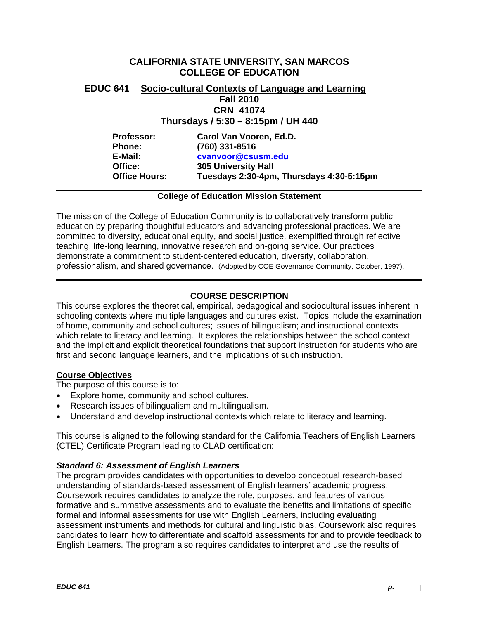# **CALIFORNIA STATE UNIVERSITY, SAN MARCOS COLLEGE OF EDUCATION**

# **EDUC 641 Socio-cultural Contexts of Language and Learning Fall 2010 CRN 41074**

# **Thursdays / 5:30 – 8:15pm / UH 440**

| <b>Professor:</b>    | Carol Van Vooren, Ed.D.                  |
|----------------------|------------------------------------------|
| <b>Phone:</b>        | (760) 331-8516                           |
| E-Mail:              | cvanvoor@csusm.edu                       |
| Office:              | <b>305 University Hall</b>               |
| <b>Office Hours:</b> | Tuesdays 2:30-4pm, Thursdays 4:30-5:15pm |

# **College of Education Mission Statement**

The mission of the College of Education Community is to collaboratively transform public education by preparing thoughtful educators and advancing professional practices. We are committed to diversity, educational equity, and social justice, exemplified through reflective teaching, life-long learning, innovative research and on-going service. Our practices demonstrate a commitment to student-centered education, diversity, collaboration, professionalism, and shared governance. (Adopted by COE Governance Community, October, 1997).

# **COURSE DESCRIPTION**

This course explores the theoretical, empirical, pedagogical and sociocultural issues inherent in schooling contexts where multiple languages and cultures exist. Topics include the examination of home, community and school cultures; issues of bilingualism; and instructional contexts which relate to literacy and learning. It explores the relationships between the school context and the implicit and explicit theoretical foundations that support instruction for students who are first and second language learners, and the implications of such instruction.

# **Course Objectives**

The purpose of this course is to:

- Explore home, community and school cultures.
- Research issues of bilingualism and multilingualism.
- Understand and develop instructional contexts which relate to literacy and learning.

This course is aligned to the following standard for the California Teachers of English Learners (CTEL) Certificate Program leading to CLAD certification:

#### *Standard 6: Assessment of English Learners*

The program provides candidates with opportunities to develop conceptual research-based understanding of standards-based assessment of English learners' academic progress. Coursework requires candidates to analyze the role, purposes, and features of various formative and summative assessments and to evaluate the benefits and limitations of specific formal and informal assessments for use with English Learners, including evaluating assessment instruments and methods for cultural and linguistic bias. Coursework also requires candidates to learn how to differentiate and scaffold assessments for and to provide feedback to English Learners. The program also requires candidates to interpret and use the results of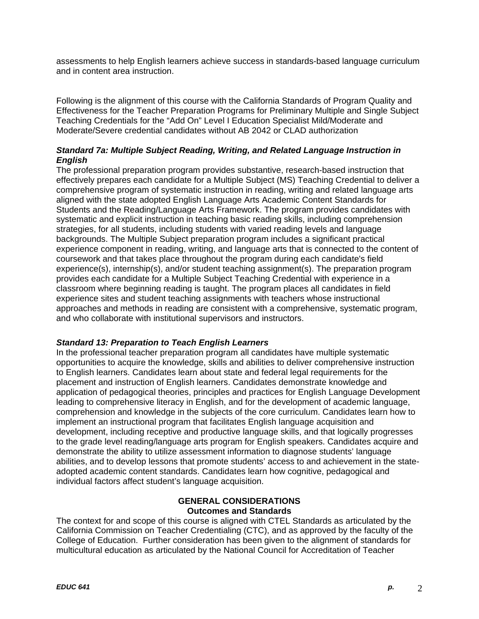assessments to help English learners achieve success in standards-based language curriculum and in content area instruction.

Following is the alignment of this course with the California Standards of Program Quality and Effectiveness for the Teacher Preparation Programs for Preliminary Multiple and Single Subject Teaching Credentials for the "Add On" Level I Education Specialist Mild/Moderate and Moderate/Severe credential candidates without AB 2042 or CLAD authorization

# *Standard 7a: Multiple Subject Reading, Writing, and Related Language Instruction in English*

The professional preparation program provides substantive, research-based instruction that effectively prepares each candidate for a Multiple Subject (MS) Teaching Credential to deliver a comprehensive program of systematic instruction in reading, writing and related language arts aligned with the state adopted English Language Arts Academic Content Standards for Students and the Reading/Language Arts Framework. The program provides candidates with systematic and explicit instruction in teaching basic reading skills, including comprehension strategies, for all students, including students with varied reading levels and language backgrounds. The Multiple Subject preparation program includes a significant practical experience component in reading, writing, and language arts that is connected to the content of coursework and that takes place throughout the program during each candidate's field experience(s), internship(s), and/or student teaching assignment(s). The preparation program provides each candidate for a Multiple Subject Teaching Credential with experience in a classroom where beginning reading is taught. The program places all candidates in field experience sites and student teaching assignments with teachers whose instructional approaches and methods in reading are consistent with a comprehensive, systematic program, and who collaborate with institutional supervisors and instructors.

# *Standard 13: Preparation to Teach English Learners*

In the professional teacher preparation program all candidates have multiple systematic opportunities to acquire the knowledge, skills and abilities to deliver comprehensive instruction to English learners. Candidates learn about state and federal legal requirements for the placement and instruction of English learners. Candidates demonstrate knowledge and application of pedagogical theories, principles and practices for English Language Development leading to comprehensive literacy in English, and for the development of academic language, comprehension and knowledge in the subjects of the core curriculum. Candidates learn how to implement an instructional program that facilitates English language acquisition and development, including receptive and productive language skills, and that logically progresses to the grade level reading/language arts program for English speakers. Candidates acquire and demonstrate the ability to utilize assessment information to diagnose students' language abilities, and to develop lessons that promote students' access to and achievement in the stateadopted academic content standards. Candidates learn how cognitive, pedagogical and individual factors affect student's language acquisition.

#### **GENERAL CONSIDERATIONS Outcomes and Standards**

The context for and scope of this course is aligned with CTEL Standards as articulated by the California Commission on Teacher Credentialing (CTC), and as approved by the faculty of the College of Education. Further consideration has been given to the alignment of standards for multicultural education as articulated by the National Council for Accreditation of Teacher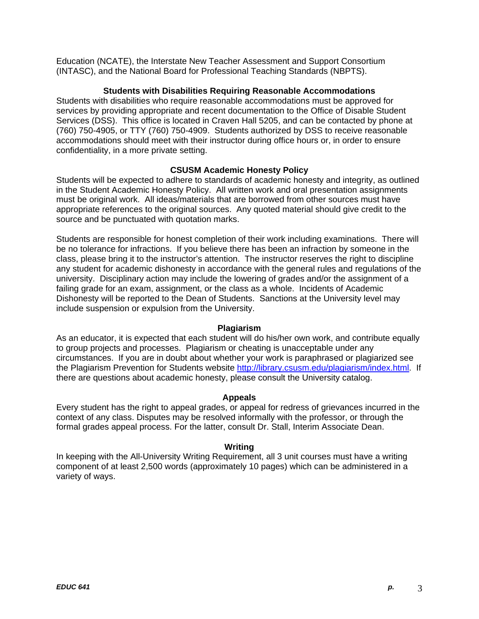Education (NCATE), the Interstate New Teacher Assessment and Support Consortium (INTASC), and the National Board for Professional Teaching Standards (NBPTS).

#### **Students with Disabilities Requiring Reasonable Accommodations**

Students with disabilities who require reasonable accommodations must be approved for services by providing appropriate and recent documentation to the Office of Disable Student Services (DSS). This office is located in Craven Hall 5205, and can be contacted by phone at (760) 750-4905, or TTY (760) 750-4909. Students authorized by DSS to receive reasonable accommodations should meet with their instructor during office hours or, in order to ensure confidentiality, in a more private setting.

# **CSUSM Academic Honesty Policy**

Students will be expected to adhere to standards of academic honesty and integrity, as outlined in the Student Academic Honesty Policy. All written work and oral presentation assignments must be original work. All ideas/materials that are borrowed from other sources must have appropriate references to the original sources. Any quoted material should give credit to the source and be punctuated with quotation marks.

Students are responsible for honest completion of their work including examinations. There will be no tolerance for infractions. If you believe there has been an infraction by someone in the class, please bring it to the instructor's attention. The instructor reserves the right to discipline any student for academic dishonesty in accordance with the general rules and regulations of the university. Disciplinary action may include the lowering of grades and/or the assignment of a failing grade for an exam, assignment, or the class as a whole. Incidents of Academic Dishonesty will be reported to the Dean of Students. Sanctions at the University level may include suspension or expulsion from the University.

#### **Plagiarism**

As an educator, it is expected that each student will do his/her own work, and contribute equally to group projects and processes. Plagiarism or cheating is unacceptable under any circumstances. If you are in doubt about whether your work is paraphrased or plagiarized see the Plagiarism Prevention for Students website http://library.csusm.edu/plagiarism/index.html. If there are questions about academic honesty, please consult the University catalog.

#### **Appeals**

Every student has the right to appeal grades, or appeal for redress of grievances incurred in the context of any class. Disputes may be resolved informally with the professor, or through the formal grades appeal process. For the latter, consult Dr. Stall, Interim Associate Dean.

#### **Writing**

In keeping with the All-University Writing Requirement, all 3 unit courses must have a writing component of at least 2,500 words (approximately 10 pages) which can be administered in a variety of ways.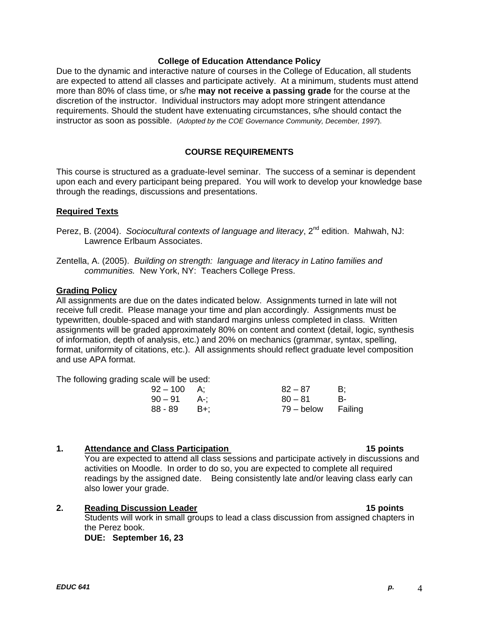#### **College of Education Attendance Policy**

Due to the dynamic and interactive nature of courses in the College of Education, all students are expected to attend all classes and participate actively. At a minimum, students must attend more than 80% of class time, or s/he **may not receive a passing grade** for the course at the discretion of the instructor. Individual instructors may adopt more stringent attendance requirements. Should the student have extenuating circumstances, s/he should contact the instructor as soon as possible. (*Adopted by the COE Governance Community, December, 1997*).

#### **COURSE REQUIREMENTS**

This course is structured as a graduate-level seminar. The success of a seminar is dependent upon each and every participant being prepared. You will work to develop your knowledge base through the readings, discussions and presentations.

#### **Required Texts**

- Perez, B. (2004). *Sociocultural contexts of language and literacy*, 2<sup>nd</sup> edition. Mahwah, NJ: Lawrence Erlbaum Associates.
- Zentella, A. (2005). *Building on strength: language and literacy in Latino families and communities.* New York, NY: Teachers College Press.

#### **Grading Policy**

All assignments are due on the dates indicated below. Assignments turned in late will not receive full credit. Please manage your time and plan accordingly. Assignments must be typewritten, double-spaced and with standard margins unless completed in class. Written assignments will be graded approximately 80% on content and context (detail, logic, synthesis of information, depth of analysis, etc.) and 20% on mechanics (grammar, syntax, spelling, format, uniformity of citations, etc.). All assignments should reflect graduate level composition and use APA format.

The following grading scale will be used:

| 92 – 100 | A:    | $82 - 87$          | B:   |
|----------|-------|--------------------|------|
| 90 – 91  | . A-: | $80 - 81$          | - R- |
| 88 - 89  | — B+: | 79 – below Failing |      |

#### **1.** Attendance and Class Participation

 readings by the assigned date. Being consistently late and/or leaving class early can You are expected to attend all class sessions and participate actively in discussions and activities on Moodle. In order to do so, you are expected to complete all required also lower your grade.

#### **2. Reading Discussion Leader 15 points**

Students will work in small groups to lead a class discussion from assigned chapters in the Perez book.

**DUE: September 16, 23** 

#### 15 points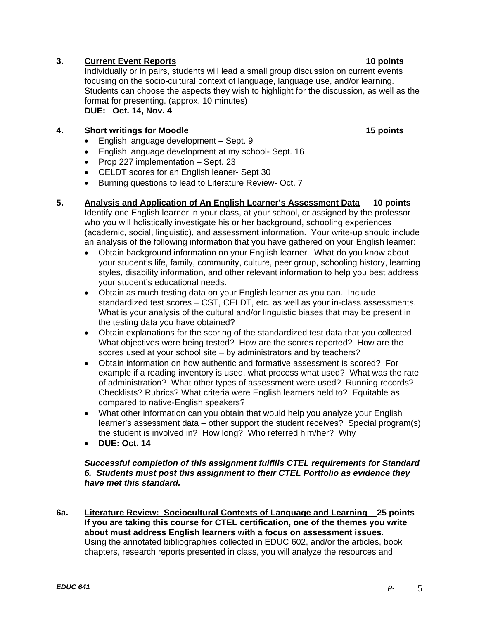# **10 points 10 points 10 points 10 points**

Individually or in pairs, students will lead a small group discussion on current events focusing on the socio-cultural context of language, language use, and/or learning. Students can choose the aspects they wish to highlight for the discussion, as well as the format for presenting. (approx. 10 minutes) **DUE: Oct. 14, Nov. 4** 

# **4.** Short writings for Moodle 15 points **15 points**

- English language development Sept. 9
- English language development at my school- Sept. 16
- Prop 227 implementation  $-$  Sept. 23
- CELDT scores for an English leaner- Sept 30
- Burning questions to lead to Literature Review- Oct. 7

# **5. Analysis and Application of An English Learner's Assessment Data 10 points**

Identify one English learner in your class, at your school, or assigned by the professor who you will holistically investigate his or her background, schooling experiences (academic, social, linguistic), and assessment information. Your write-up should include an analysis of the following information that you have gathered on your English learner:

- Obtain background information on your English learner. What do you know about your student's life, family, community, culture, peer group, schooling history, learning styles, disability information, and other relevant information to help you best address your student's educational needs.
- Obtain as much testing data on your English learner as you can. Include standardized test scores – CST, CELDT, etc. as well as your in-class assessments. What is your analysis of the cultural and/or linguistic biases that may be present in the testing data you have obtained?
- Obtain explanations for the scoring of the standardized test data that you collected. What objectives were being tested? How are the scores reported? How are the scores used at your school site – by administrators and by teachers?
- Obtain information on how authentic and formative assessment is scored? For example if a reading inventory is used, what process what used? What was the rate of administration? What other types of assessment were used? Running records? Checklists? Rubrics? What criteria were English learners held to? Equitable as compared to native-English speakers?
- What other information can you obtain that would help you analyze your English learner's assessment data – other support the student receives? Special program(s) the student is involved in? How long? Who referred him/her? Why
- **DUE: Oct. 14**

# *Successful completion of this assignment fulfills CTEL requirements for Standard 6. Students must post this assignment to their CTEL Portfolio as evidence they have met this standard.*

**6a. Literature Review: Sociocultural Contexts of Language and Learning 25 points If you are taking this course for CTEL certification, one of the themes you write about must address English learners with a focus on assessment issues.**  Using the annotated bibliographies collected in EDUC 602, and/or the articles, book chapters, research reports presented in class, you will analyze the resources and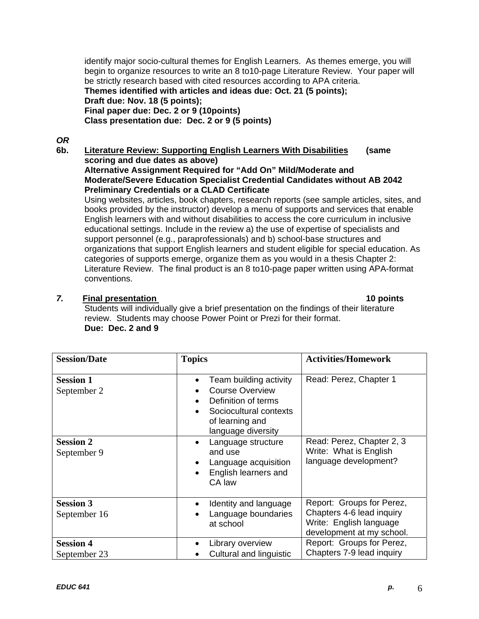identify major socio-cultural themes for English Learners. As themes emerge, you will begin to organize resources to write an 8 to10-page Literature Review. Your paper will be strictly research based with cited resources according to APA criteria. **Themes identified with articles and ideas due: Oct. 21 (5 points); Draft due: Nov. 18 (5 points); Final paper due: Dec. 2 or 9 (10points) Class presentation due: Dec. 2 or 9 (5 points)** 

*OR* 

**6b. Literature Review: Supporting English Learners With Disabilities (same scoring and due dates as above) Alternative Assignment Required for "Add On" Mild/Moderate and** 

**Moderate/Severe Education Specialist Credential Candidates without AB 2042 Preliminary Credentials or a CLAD Certificate** 

Using websites, articles, book chapters, research reports (see sample articles, sites, and books provided by the instructor) develop a menu of supports and services that enable English learners with and without disabilities to access the core curriculum in inclusive educational settings. Include in the review a) the use of expertise of specialists and support personnel (e.g., paraprofessionals) and b) school-base structures and organizations that support English learners and student eligible for special education. As categories of supports emerge, organize them as you would in a thesis Chapter 2: Literature Review. The final product is an 8 to10-page paper written using APA-format conventions.

# *7.* **Final presentation 10 points**

Students will individually give a brief presentation on the findings of their literature review. Students may choose Power Point or Prezi for their format. **Due: Dec. 2 and 9** 

| <b>Session/Date</b>              | <b>Topics</b>                                                                                                                              | <b>Activities/Homework</b>                                                                                     |
|----------------------------------|--------------------------------------------------------------------------------------------------------------------------------------------|----------------------------------------------------------------------------------------------------------------|
| <b>Session 1</b><br>September 2  | Team building activity<br><b>Course Overview</b><br>Definition of terms<br>Sociocultural contexts<br>of learning and<br>language diversity | Read: Perez, Chapter 1                                                                                         |
| <b>Session 2</b><br>September 9  | Language structure<br>and use<br>Language acquisition<br>English learners and<br>CA law                                                    | Read: Perez, Chapter 2, 3<br>Write: What is English<br>language development?                                   |
| <b>Session 3</b><br>September 16 | Identity and language<br>Language boundaries<br>at school                                                                                  | Report: Groups for Perez,<br>Chapters 4-6 lead inquiry<br>Write: English language<br>development at my school. |
| <b>Session 4</b><br>September 23 | Library overview<br>Cultural and linguistic                                                                                                | Report: Groups for Perez,<br>Chapters 7-9 lead inquiry                                                         |